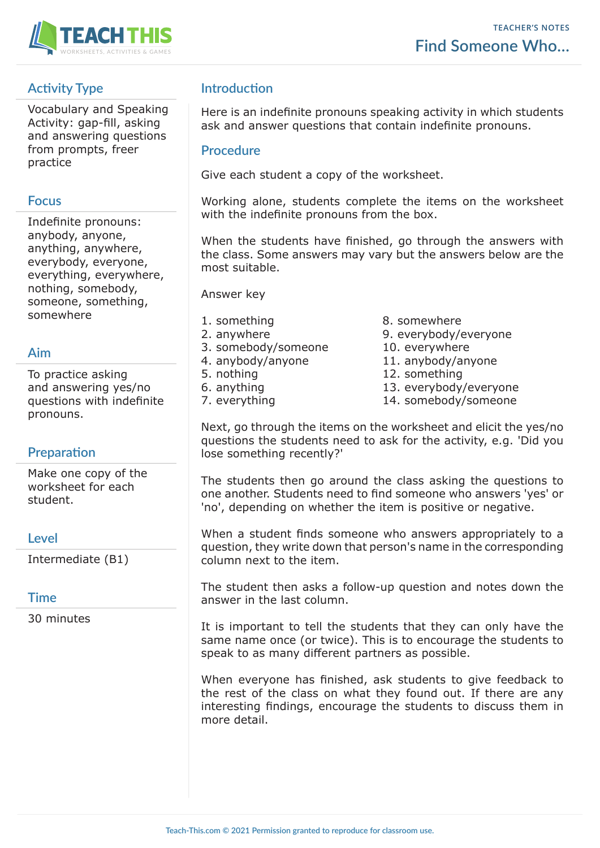

# **Activity Type**

Vocabulary and Speaking Activity: gap-fill, asking and answering questions from prompts, freer practice

### **Focus**

Indefinite pronouns: anybody, anyone, anything, anywhere, everybody, everyone, everything, everywhere, nothing, somebody, someone, something, somewhere

## **Aim**

To practice asking and answering yes/no questions with indefinite pronouns.

## **Preparation**

Make one copy of the worksheet for each student.

### **Level**

Intermediate (B1)

## **Time**

30 minutes

# **Introduction**

Here is an indefinite pronouns speaking activity in which students ask and answer questions that contain indefinite pronouns.

#### **Procedure**

Give each student a copy of the worksheet.

Working alone, students complete the items on the worksheet with the indefinite pronouns from the box.

When the students have finished, go through the answers with the class. Some answers may vary but the answers below are the most suitable.

Answer key

- 
- 
- 3. somebody/someone 10. everywhere
- 4. anybody/anyone 11. anybody/anyone
- 
- 
- 
- 1. something 8. somewhere
- 2. anywhere 3. everybody/everyone
	-
	-
- 5. nothing 12. something
- 6. anything 13. everybody/everyone
- 7. everything 14. somebody/someone

Next, go through the items on the worksheet and elicit the yes/no questions the students need to ask for the activity, e.g. 'Did you lose something recently?'

The students then go around the class asking the questions to one another. Students need to find someone who answers 'yes' or 'no', depending on whether the item is positive or negative.

When a student finds someone who answers appropriately to a question, they write down that person's name in the corresponding column next to the item.

The student then asks a follow-up question and notes down the answer in the last column.

It is important to tell the students that they can only have the same name once (or twice). This is to encourage the students to speak to as many different partners as possible.

When everyone has finished, ask students to give feedback to the rest of the class on what they found out. If there are any interesting findings, encourage the students to discuss them in more detail.